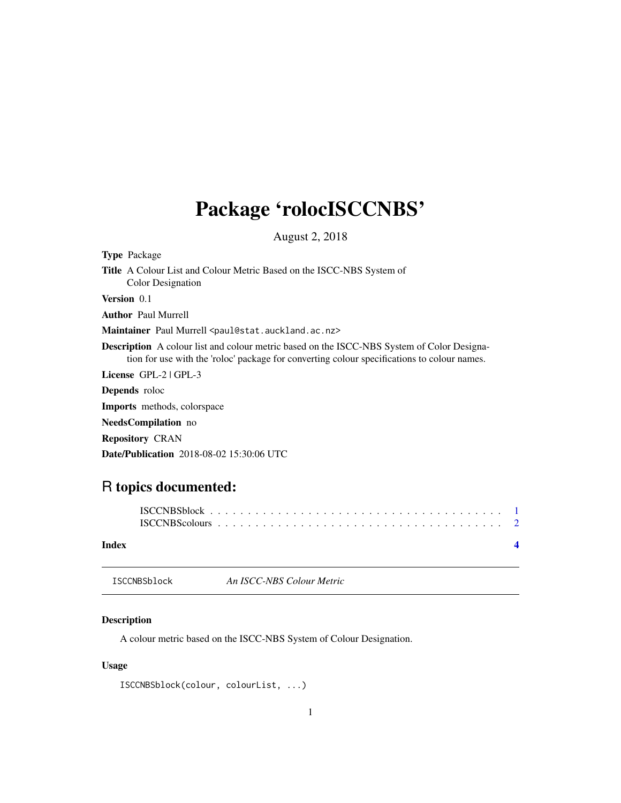## <span id="page-0-0"></span>Package 'rolocISCCNBS'

August 2, 2018

Type Package Title A Colour List and Colour Metric Based on the ISCC-NBS System of Color Designation Version 0.1 Author Paul Murrell Maintainer Paul Murrell <paul@stat.auckland.ac.nz> Description A colour list and colour metric based on the ISCC-NBS System of Color Designation for use with the 'roloc' package for converting colour specifications to colour names. License GPL-2 | GPL-3 Depends roloc Imports methods, colorspace NeedsCompilation no Repository CRAN

Date/Publication 2018-08-02 15:30:06 UTC

### R topics documented:

| Index |  |  |  |  |  |  |  |  |  |  |  |  |  |  |  |  |
|-------|--|--|--|--|--|--|--|--|--|--|--|--|--|--|--|--|

#### ISCCNBSblock *An ISCC-NBS Colour Metric*

#### Description

A colour metric based on the ISCC-NBS System of Colour Designation.

#### Usage

```
ISCCNBSblock(colour, colourList, ...)
```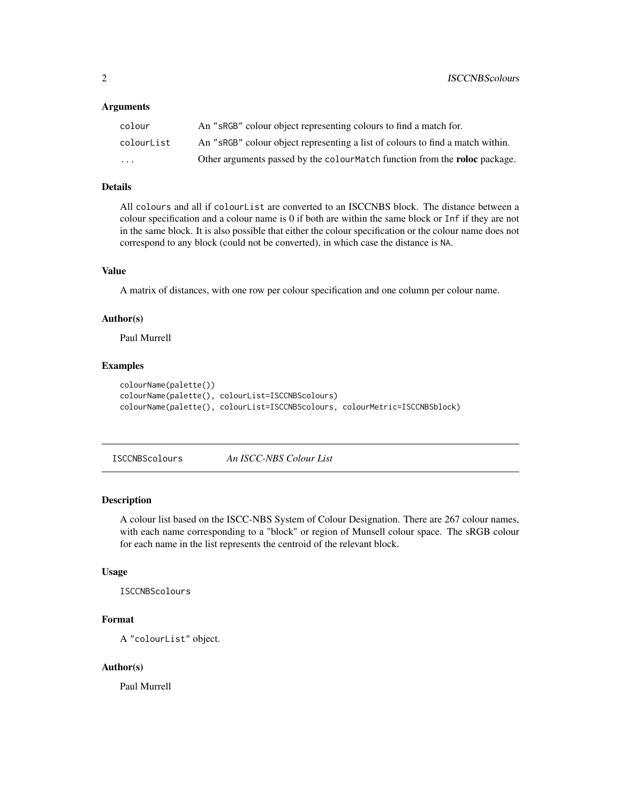#### <span id="page-1-0"></span>**Arguments**

| colour                  | An "sRGB" colour object representing colours to find a match for.              |
|-------------------------|--------------------------------------------------------------------------------|
| colourList              | An "sRGB" colour object representing a list of colours to find a match within. |
| $\cdot$ $\cdot$ $\cdot$ | Other arguments passed by the colourMatch function from the roloc package.     |

#### Details

All colours and all if colourList are converted to an ISCCNBS block. The distance between a colour specification and a colour name is 0 if both are within the same block or Inf if they are not in the same block. It is also possible that either the colour specification or the colour name does not correspond to any block (could not be converted), in which case the distance is NA.

#### Value

A matrix of distances, with one row per colour specification and one column per colour name.

#### Author(s)

Paul Murrell

#### Examples

```
colourName(palette())
colourName(palette(), colourList=ISCCNBScolours)
colourName(palette(), colourList=ISCCNBScolours, colourMetric=ISCCNBSblock)
```
ISCCNBScolours *An ISCC-NBS Colour List*

#### Description

A colour list based on the ISCC-NBS System of Colour Designation. There are 267 colour names, with each name corresponding to a "block" or region of Munsell colour space. The sRGB colour for each name in the list represents the centroid of the relevant block.

#### Usage

ISCCNBScolours

#### Format

A "colourList" object.

#### Author(s)

Paul Murrell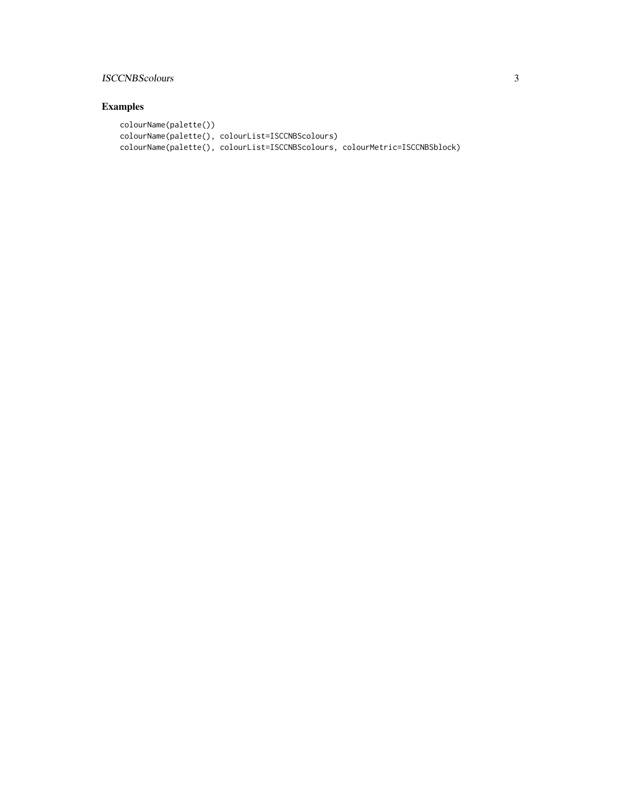#### ISCCNBScolours 3

#### Examples

```
colourName(palette())
colourName(palette(), colourList=ISCCNBScolours)
colourName(palette(), colourList=ISCCNBScolours, colourMetric=ISCCNBSblock)
```